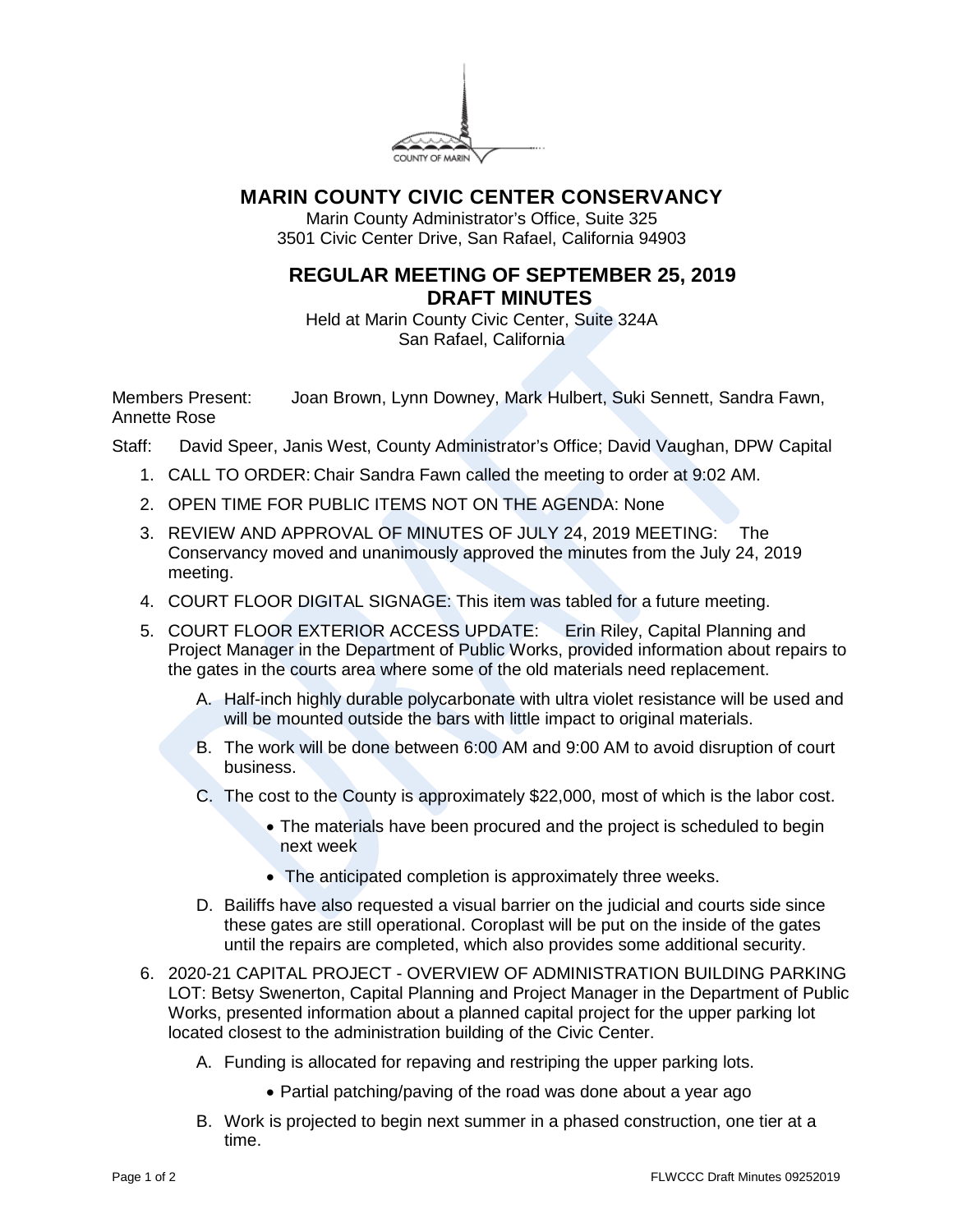

## **MARIN COUNTY CIVIC CENTER CONSERVANCY**

Marin County Administrator's Office, Suite 325 3501 Civic Center Drive, San Rafael, California 94903

## **REGULAR MEETING OF SEPTEMBER 25, 2019 DRAFT MINUTES**

Held at Marin County Civic Center, Suite 324A San Rafael, California

Members Present: Joan Brown, Lynn Downey, Mark Hulbert, Suki Sennett, Sandra Fawn, Annette Rose

- Staff: David Speer, Janis West, County Administrator's Office; David Vaughan, DPW Capital
	- 1. CALL TO ORDER: Chair Sandra Fawn called the meeting to order at 9:02 AM.
	- 2. OPEN TIME FOR PUBLIC ITEMS NOT ON THE AGENDA: None
	- 3. REVIEW AND APPROVAL OF MINUTES OF JULY 24, 2019 MEETING: The Conservancy moved and unanimously approved the minutes from the July 24, 2019 meeting.
	- 4. COURT FLOOR DIGITAL SIGNAGE: This item was tabled for a future meeting.
	- 5. COURT FLOOR EXTERIOR ACCESS UPDATE: Erin Riley, Capital Planning and Project Manager in the Department of Public Works, provided information about repairs to the gates in the courts area where some of the old materials need replacement.
		- A. Half-inch highly durable polycarbonate with ultra violet resistance will be used and will be mounted outside the bars with little impact to original materials.
		- B. The work will be done between 6:00 AM and 9:00 AM to avoid disruption of court business.
		- C. The cost to the County is approximately \$22,000, most of which is the labor cost.
			- The materials have been procured and the project is scheduled to begin next week
			- The anticipated completion is approximately three weeks.
		- D. Bailiffs have also requested a visual barrier on the judicial and courts side since these gates are still operational. Coroplast will be put on the inside of the gates until the repairs are completed, which also provides some additional security.
	- 6. 2020-21 CAPITAL PROJECT OVERVIEW OF ADMINISTRATION BUILDING PARKING LOT: Betsy Swenerton, Capital Planning and Project Manager in the Department of Public Works, presented information about a planned capital project for the upper parking lot located closest to the administration building of the Civic Center.
		- A. Funding is allocated for repaving and restriping the upper parking lots.
			- Partial patching/paving of the road was done about a year ago
		- B. Work is projected to begin next summer in a phased construction, one tier at a time.